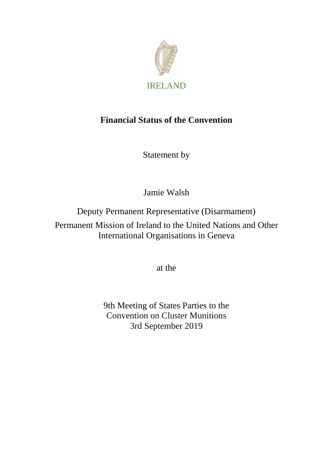

# **Financial Status of the Convention**

Statement by

Jamie Walsh

Deputy Permanent Representative (Disarmament)

Permanent Mission of Ireland to the United Nations and Other International Organisations in Geneva

at the

9th Meeting of States Parties to the Convention on Cluster Munitions 3rd September 2019